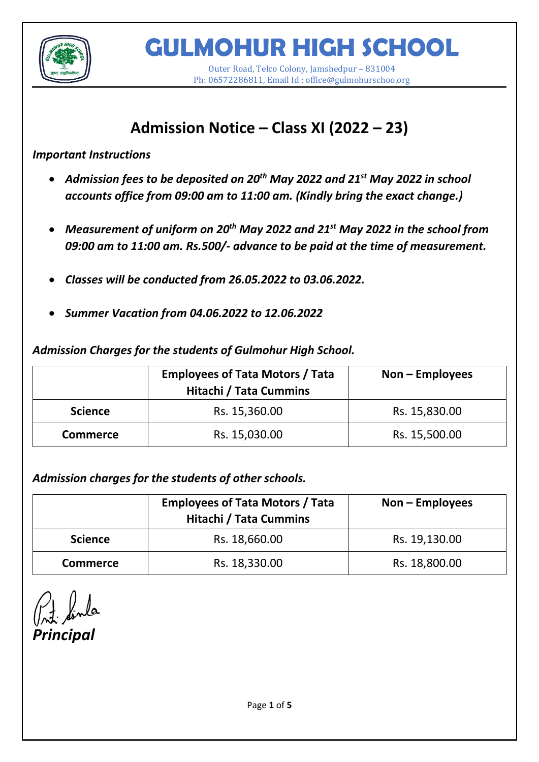

**GULMOHUR HIGH SCHOOL**

Outer Road, Telco Colony, Jamshedpur – 831004 Ph: 06572286811, Email Id : office@gulmohurschoo.org

# **Admission Notice – Class XI (2022 – 23)**

*Important Instructions*

- *Admission fees to be deposited on 20th May 2022 and 21st May 2022 in school accounts office from 09:00 am to 11:00 am. (Kindly bring the exact change.)*
- *Measurement of uniform on 20th May 2022 and 21st May 2022 in the school from 09:00 am to 11:00 am. Rs.500/- advance to be paid at the time of measurement.*
- *Classes will be conducted from 26.05.2022 to 03.06.2022.*
- *Summer Vacation from 04.06.2022 to 12.06.2022*

*Admission Charges for the students of Gulmohur High School.*

|                 | <b>Employees of Tata Motors / Tata</b><br><b>Hitachi / Tata Cummins</b> | $Non-Employes$ |
|-----------------|-------------------------------------------------------------------------|----------------|
| <b>Science</b>  | Rs. 15,360.00                                                           | Rs. 15,830.00  |
| <b>Commerce</b> | Rs. 15,030.00                                                           | Rs. 15,500.00  |

*Admission charges for the students of other schools.*

|                 | <b>Employees of Tata Motors / Tata</b><br><b>Hitachi / Tata Cummins</b> | $Non-Employes$ |
|-----------------|-------------------------------------------------------------------------|----------------|
| <b>Science</b>  | Rs. 18,660.00                                                           | Rs. 19,130.00  |
| <b>Commerce</b> | Rs. 18,330.00                                                           | Rs. 18,800.00  |

*Principal*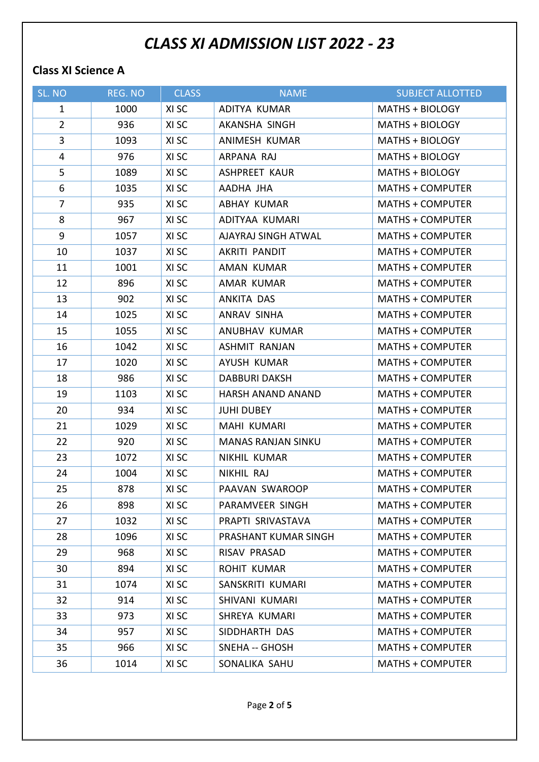## *CLASS XI ADMISSION LIST 2022 - 23*

#### **Class XI Science A**

| SL. NO         | REG. NO | <b>CLASS</b> | <b>NAME</b>               | <b>SUBJECT ALLOTTED</b> |
|----------------|---------|--------------|---------------------------|-------------------------|
| $\mathbf{1}$   | 1000    | XI SC        | ADITYA KUMAR              | <b>MATHS + BIOLOGY</b>  |
| $\overline{2}$ | 936     | XI SC        | AKANSHA SINGH             | MATHS + BIOLOGY         |
| $\overline{3}$ | 1093    | XI SC        | ANIMESH KUMAR             | <b>MATHS + BIOLOGY</b>  |
| 4              | 976     | XI SC        | ARPANA RAJ                | <b>MATHS + BIOLOGY</b>  |
| 5              | 1089    | XI SC        | <b>ASHPREET KAUR</b>      | MATHS + BIOLOGY         |
| 6              | 1035    | XI SC        | AADHA JHA                 | <b>MATHS + COMPUTER</b> |
| $\overline{7}$ | 935     | XI SC        | ABHAY KUMAR               | <b>MATHS + COMPUTER</b> |
| 8              | 967     | XI SC        | ADITYAA KUMARI            | <b>MATHS + COMPUTER</b> |
| 9              | 1057    | XI SC        | AJAYRAJ SINGH ATWAL       | <b>MATHS + COMPUTER</b> |
| 10             | 1037    | XI SC        | AKRITI PANDIT             | <b>MATHS + COMPUTER</b> |
| 11             | 1001    | XI SC        | AMAN KUMAR                | <b>MATHS + COMPUTER</b> |
| 12             | 896     | XI SC        | AMAR KUMAR                | <b>MATHS + COMPUTER</b> |
| 13             | 902     | XI SC        | ANKITA DAS                | <b>MATHS + COMPUTER</b> |
| 14             | 1025    | XI SC        | ANRAV SINHA               | <b>MATHS + COMPUTER</b> |
| 15             | 1055    | XI SC        | ANUBHAV KUMAR             | <b>MATHS + COMPUTER</b> |
| 16             | 1042    | XI SC        | <b>ASHMIT RANJAN</b>      | <b>MATHS + COMPUTER</b> |
| 17             | 1020    | XI SC        | AYUSH KUMAR               | <b>MATHS + COMPUTER</b> |
| 18             | 986     | XI SC        | <b>DABBURI DAKSH</b>      | <b>MATHS + COMPUTER</b> |
| 19             | 1103    | XI SC        | HARSH ANAND ANAND         | <b>MATHS + COMPUTER</b> |
| 20             | 934     | XI SC        | <b>JUHI DUBEY</b>         | <b>MATHS + COMPUTER</b> |
| 21             | 1029    | XI SC        | MAHI KUMARI               | <b>MATHS + COMPUTER</b> |
| 22             | 920     | XI SC        | <b>MANAS RANJAN SINKU</b> | <b>MATHS + COMPUTER</b> |
| 23             | 1072    | XI SC        | NIKHIL KUMAR              | <b>MATHS + COMPUTER</b> |
| 24             | 1004    | XI SC        | NIKHIL RAJ                | <b>MATHS + COMPUTER</b> |
| 25             | 878     | XI SC        | PAAVAN SWAROOP            | <b>MATHS + COMPUTER</b> |
| 26             | 898     | XI SC        | PARAMVEER SINGH           | MATHS + COMPUTER        |
| 27             | 1032    | XI SC        | PRAPTI SRIVASTAVA         | <b>MATHS + COMPUTER</b> |
| 28             | 1096    | XI SC        | PRASHANT KUMAR SINGH      | <b>MATHS + COMPUTER</b> |
| 29             | 968     | XI SC        | RISAV PRASAD              | <b>MATHS + COMPUTER</b> |
| 30             | 894     | XI SC        | <b>ROHIT KUMAR</b>        | <b>MATHS + COMPUTER</b> |
| 31             | 1074    | XI SC        | SANSKRITI KUMARI          | <b>MATHS + COMPUTER</b> |
| 32             | 914     | XI SC        | SHIVANI KUMARI            | <b>MATHS + COMPUTER</b> |
| 33             | 973     | XI SC        | SHREYA KUMARI             | <b>MATHS + COMPUTER</b> |
| 34             | 957     | XI SC        | SIDDHARTH DAS             | <b>MATHS + COMPUTER</b> |
| 35             | 966     | XI SC        | <b>SNEHA -- GHOSH</b>     | <b>MATHS + COMPUTER</b> |
| 36             | 1014    | XI SC        | SONALIKA SAHU             | <b>MATHS + COMPUTER</b> |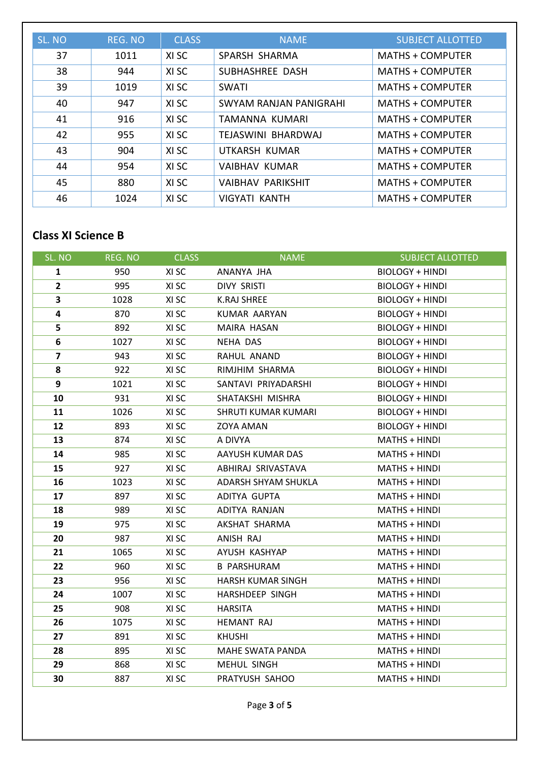| SL. NO | REG. NO | <b>CLASS</b> | <b>NAME</b>              | <b>SUBJECT ALLOTTED</b> |
|--------|---------|--------------|--------------------------|-------------------------|
| 37     | 1011    | XI SC        | SPARSH SHARMA            | <b>MATHS + COMPUTER</b> |
| 38     | 944     | XI SC        | SUBHASHREE DASH          | MATHS + COMPUTER        |
| 39     | 1019    | XI SC        | SWATI                    | MATHS + COMPUTER        |
| 40     | 947     | XI SC        | SWYAM RANJAN PANIGRAHI   | <b>MATHS + COMPUTER</b> |
| 41     | 916     | XI SC        | TAMANNA KUMARI           | <b>MATHS + COMPUTER</b> |
| 42     | 955     | XI SC        | TEJASWINI BHARDWAJ       | MATHS + COMPUTER        |
| 43     | 904     | XI SC        | UTKARSH KUMAR            | MATHS + COMPUTER        |
| 44     | 954     | XI SC        | <b>VAIBHAV KUMAR</b>     | MATHS + COMPUTER        |
| 45     | 880     | XI SC        | <b>VAIBHAV PARIKSHIT</b> | <b>MATHS + COMPUTER</b> |
| 46     | 1024    | XI SC        | VIGYATI KANTH            | <b>MATHS + COMPUTER</b> |

### **Class XI Science B**

| SL. NO         | REG. NO | <b>CLASS</b> | <b>NAME</b>              | <b>SUBJECT ALLOTTED</b> |
|----------------|---------|--------------|--------------------------|-------------------------|
| $\mathbf{1}$   | 950     | XI SC        | ANANYA JHA               | <b>BIOLOGY + HINDI</b>  |
| $\overline{2}$ | 995     | XI SC        | <b>DIVY SRISTI</b>       | <b>BIOLOGY + HINDI</b>  |
| 3              | 1028    | XI SC        | <b>K.RAJ SHREE</b>       | <b>BIOLOGY + HINDI</b>  |
| 4              | 870     | XI SC        | <b>KUMAR AARYAN</b>      | <b>BIOLOGY + HINDI</b>  |
| 5              | 892     | XI SC        | MAIRA HASAN              | BIOLOGY + HINDI         |
| 6              | 1027    | XI SC        | NEHA DAS                 | <b>BIOLOGY + HINDI</b>  |
| $\overline{7}$ | 943     | XI SC        | RAHUL ANAND              | <b>BIOLOGY + HINDI</b>  |
| 8              | 922     | XI SC        | RIMJHIM SHARMA           | <b>BIOLOGY + HINDI</b>  |
| 9              | 1021    | XI SC        | SANTAVI PRIYADARSHI      | <b>BIOLOGY + HINDI</b>  |
| 10             | 931     | XI SC        | SHATAKSHI MISHRA         | <b>BIOLOGY + HINDI</b>  |
| 11             | 1026    | XI SC        | SHRUTI KUMAR KUMARI      | <b>BIOLOGY + HINDI</b>  |
| 12             | 893     | XI SC        | ZOYA AMAN                | <b>BIOLOGY + HINDI</b>  |
| 13             | 874     | XI SC        | A DIVYA                  | MATHS + HINDI           |
| 14             | 985     | XI SC        | AAYUSH KUMAR DAS         | MATHS + HINDI           |
| 15             | 927     | XI SC        | ABHIRAJ SRIVASTAVA       | MATHS + HINDI           |
| 16             | 1023    | XI SC        | ADARSH SHYAM SHUKLA      | MATHS + HINDI           |
| 17             | 897     | XI SC        | ADITYA GUPTA             | MATHS + HINDI           |
| 18             | 989     | XI SC        | ADITYA RANJAN            | MATHS + HINDI           |
| 19             | 975     | XI SC        | AKSHAT SHARMA            | MATHS + HINDI           |
| 20             | 987     | XI SC        | ANISH RAJ                | MATHS + HINDI           |
| 21             | 1065    | XI SC        | AYUSH KASHYAP            | MATHS + HINDI           |
| 22             | 960     | XI SC        | <b>B PARSHURAM</b>       | MATHS + HINDI           |
| 23             | 956     | XI SC        | <b>HARSH KUMAR SINGH</b> | MATHS + HINDI           |
| 24             | 1007    | XI SC        | HARSHDEEP SINGH          | MATHS + HINDI           |
| 25             | 908     | XI SC        | <b>HARSITA</b>           | MATHS + HINDI           |
| 26             | 1075    | XI SC        | <b>HEMANT RAJ</b>        | MATHS + HINDI           |
| 27             | 891     | XI SC        | <b>KHUSHI</b>            | MATHS + HINDI           |
| 28             | 895     | XI SC        | MAHE SWATA PANDA         | MATHS + HINDI           |
| 29             | 868     | XI SC        | MEHUL SINGH              | MATHS + HINDI           |
| 30             | 887     | XI SC        | PRATYUSH SAHOO           | MATHS + HINDI           |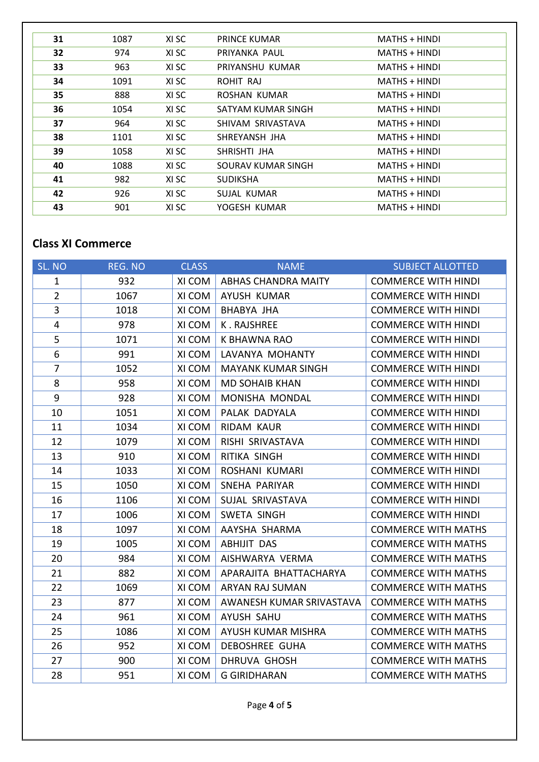| 31 | 1087 | XI SC | <b>PRINCE KUMAR</b> | MATHS + HINDI        |
|----|------|-------|---------------------|----------------------|
| 32 | 974  | XI SC | PRIYANKA PAUL       | <b>MATHS + HINDI</b> |
| 33 | 963  | XI SC | PRIYANSHU KUMAR     | MATHS + HINDI        |
| 34 | 1091 | XI SC | ROHIT RAJ           | MATHS + HINDI        |
| 35 | 888  | XI SC | ROSHAN KUMAR        | MATHS + HINDI        |
| 36 | 1054 | XI SC | SATYAM KUMAR SINGH  | MATHS + HINDI        |
| 37 | 964  | XI SC | SHIVAM SRIVASTAVA   | MATHS + HINDI        |
| 38 | 1101 | XI SC | SHREYANSH JHA       | MATHS + HINDI        |
| 39 | 1058 | XI SC | SHRISHTI JHA        | MATHS + HINDI        |
| 40 | 1088 | XI SC | SOURAV KUMAR SINGH  | MATHS + HINDI        |
| 41 | 982  | XI SC | <b>SUDIKSHA</b>     | MATHS + HINDI        |
| 42 | 926  | XI SC | SUJAL KUMAR         | MATHS + HINDI        |
| 43 | 901  | XI SC | YOGESH KUMAR        | MATHS + HINDI        |

#### **Class XI Commerce**

| SL. NO         | REG. NO | <b>CLASS</b> | <b>NAME</b>                | <b>SUBJECT ALLOTTED</b>    |
|----------------|---------|--------------|----------------------------|----------------------------|
| $\mathbf{1}$   | 932     | XI COM       | <b>ABHAS CHANDRA MAITY</b> | <b>COMMERCE WITH HINDI</b> |
| $\overline{2}$ | 1067    | XI COM       | <b>AYUSH KUMAR</b>         | <b>COMMERCE WITH HINDI</b> |
| 3              | 1018    | XI COM       | <b>BHABYA JHA</b>          | <b>COMMERCE WITH HINDI</b> |
| $\overline{4}$ | 978     | XI COM       | K. RAJSHREE                | <b>COMMERCE WITH HINDI</b> |
| 5              | 1071    | XI COM       | K BHAWNA RAO               | <b>COMMERCE WITH HINDI</b> |
| 6              | 991     | XI COM       | LAVANYA MOHANTY            | <b>COMMERCE WITH HINDI</b> |
| $\overline{7}$ | 1052    | XI COM       | <b>MAYANK KUMAR SINGH</b>  | <b>COMMERCE WITH HINDI</b> |
| 8              | 958     | XI COM       | <b>MD SOHAIB KHAN</b>      | <b>COMMERCE WITH HINDI</b> |
| 9              | 928     | XI COM       | MONISHA MONDAL             | <b>COMMERCE WITH HINDI</b> |
| 10             | 1051    | XI COM       | PALAK DADYALA              | <b>COMMERCE WITH HINDI</b> |
| 11             | 1034    | XI COM       | RIDAM KAUR                 | <b>COMMERCE WITH HINDI</b> |
| 12             | 1079    | XI COM       | RISHI SRIVASTAVA           | <b>COMMERCE WITH HINDI</b> |
| 13             | 910     | XI COM       | RITIKA SINGH               | <b>COMMERCE WITH HINDI</b> |
| 14             | 1033    | XI COM       | ROSHANI KUMARI             | <b>COMMERCE WITH HINDI</b> |
| 15             | 1050    | XI COM       | SNEHA PARIYAR              | <b>COMMERCE WITH HINDI</b> |
| 16             | 1106    | XI COM       | SUJAL SRIVASTAVA           | <b>COMMERCE WITH HINDI</b> |
| 17             | 1006    | XI COM       | SWETA SINGH                | <b>COMMERCE WITH HINDI</b> |
| 18             | 1097    | XI COM       | AAYSHA SHARMA              | <b>COMMERCE WITH MATHS</b> |
| 19             | 1005    | XI COM       | <b>ABHIJIT DAS</b>         | <b>COMMERCE WITH MATHS</b> |
| 20             | 984     | XI COM       | AISHWARYA VERMA            | <b>COMMERCE WITH MATHS</b> |
| 21             | 882     | XI COM       | APARAJITA BHATTACHARYA     | <b>COMMERCE WITH MATHS</b> |
| 22             | 1069    | XI COM       | ARYAN RAJ SUMAN            | <b>COMMERCE WITH MATHS</b> |
| 23             | 877     | XI COM       | AWANESH KUMAR SRIVASTAVA   | <b>COMMERCE WITH MATHS</b> |
| 24             | 961     | XI COM       | AYUSH SAHU                 | <b>COMMERCE WITH MATHS</b> |
| 25             | 1086    | XI COM       | AYUSH KUMAR MISHRA         | <b>COMMERCE WITH MATHS</b> |
| 26             | 952     | XI COM       | <b>DEBOSHREE GUHA</b>      | <b>COMMERCE WITH MATHS</b> |
| 27             | 900     | XI COM       | <b>DHRUVA GHOSH</b>        | <b>COMMERCE WITH MATHS</b> |
| 28             | 951     | XI COM       | <b>G GIRIDHARAN</b>        | <b>COMMERCE WITH MATHS</b> |